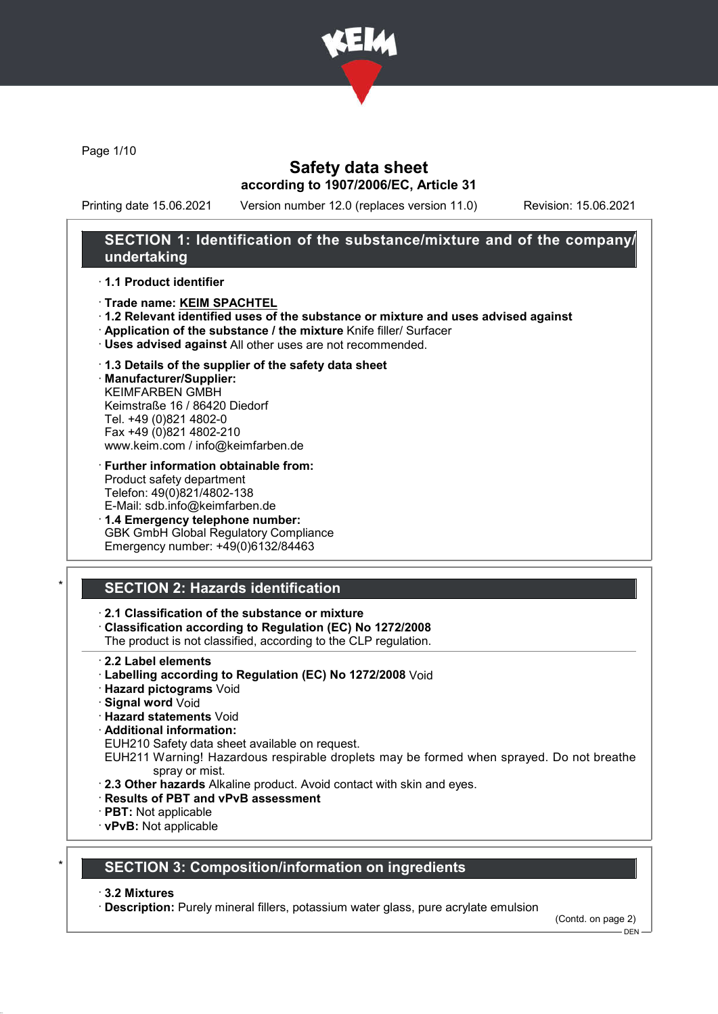

Page 1/10

### Safety data sheet according to 1907/2006/EC, Article 31

Printing date 15.06.2021 Version number 12.0 (replaces version 11.0) Revision: 15.06.2021

### SECTION 1: Identification of the substance/mixture and of the company/ undertaking

#### · 1.1 Product identifier

- · Trade name: KEIM SPACHTEL
- · 1.2 Relevant identified uses of the substance or mixture and uses advised against
- · Application of the substance / the mixture Knife filler/ Surfacer
- · Uses advised against All other uses are not recommended.

#### · 1.3 Details of the supplier of the safety data sheet

· Manufacturer/Supplier: KEIMFARBEN GMBH Keimstraße 16 / 86420 Diedorf Tel. +49 (0)821 4802-0 Fax +49 (0)821 4802-210 www.keim.com / info@keimfarben.de

- · Further information obtainable from: Product safety department Telefon: 49(0)821/4802-138 E-Mail: sdb.info@keimfarben.de
- · 1.4 Emergency telephone number: GBK GmbH Global Regulatory Compliance Emergency number: +49(0)6132/84463

## **SECTION 2: Hazards identification**

### · 2.1 Classification of the substance or mixture

· Classification according to Regulation (EC) No 1272/2008

The product is not classified, according to the CLP regulation.

- · 2.2 Label elements
- · Labelling according to Regulation (EC) No 1272/2008 Void
- · Hazard pictograms Void
- · Signal word Void
- · Hazard statements Void
- · Additional information:

EUH210 Safety data sheet available on request.

EUH211 Warning! Hazardous respirable droplets may be formed when sprayed. Do not breathe spray or mist.

- · 2.3 Other hazards Alkaline product. Avoid contact with skin and eyes.
- · Results of PBT and vPvB assessment
- · PBT: Not applicable
- · vPvB: Not applicable

## **SECTION 3: Composition/information on ingredients**

#### · 3.2 Mixtures

· Description: Purely mineral fillers, potassium water glass, pure acrylate emulsion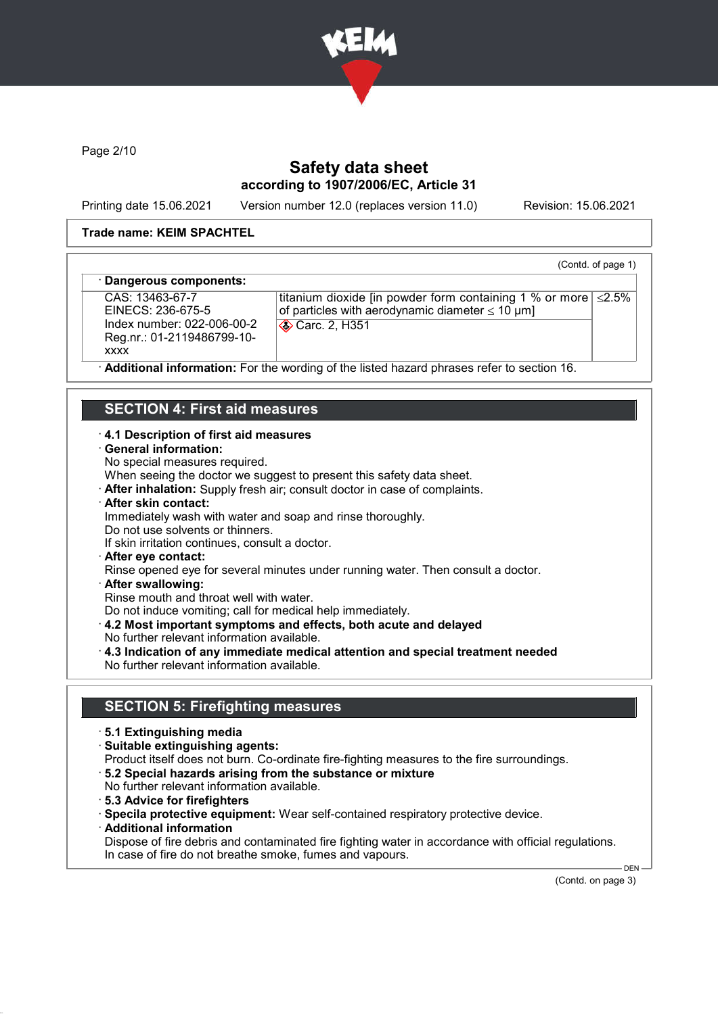

Page 2/10

## Safety data sheet according to 1907/2006/EC, Article 31

Printing date 15.06.2021 Version number 12.0 (replaces version 11.0) Revision: 15.06.2021

(Contd. of page 1)

#### Trade name: KEIM SPACHTEL

#### Dangerous components:

CAS: 13463-67-7 EINECS: 236-675-5 Index number: 022-006-00-2 Reg.nr.: 01-2119486799-10 xxxx

titanium dioxide [in powder form containing 1 % or more ≤2.5% of particles with aerodynamic diameter  $\leq 10 \text{ }\mu\text{m}$ ] Carc. 2, H351

Additional information: For the wording of the listed hazard phrases refer to section 16.

### SECTION 4: First aid measures

#### · 4.1 Description of first aid measures

- · General information:
- No special measures required.

When seeing the doctor we suggest to present this safety data sheet.

- · After inhalation: Supply fresh air; consult doctor in case of complaints.
- · After skin contact:
- Immediately wash with water and soap and rinse thoroughly.
- Do not use solvents or thinners.
- If skin irritation continues, consult a doctor.
- · After eye contact:
- Rinse opened eye for several minutes under running water. Then consult a doctor.
- · After swallowing:

Rinse mouth and throat well with water.

Do not induce vomiting; call for medical help immediately.

- · 4.2 Most important symptoms and effects, both acute and delayed
- No further relevant information available.
- · 4.3 Indication of any immediate medical attention and special treatment needed No further relevant information available.

### SECTION 5: Firefighting measures

- · 5.1 Extinguishing media
- · Suitable extinguishing agents:
- Product itself does not burn. Co-ordinate fire-fighting measures to the fire surroundings.
- · 5.2 Special hazards arising from the substance or mixture
- No further relevant information available.
- · 5.3 Advice for firefighters
- · Specila protective equipment: Wear self-contained respiratory protective device.
- · Additional information
- Dispose of fire debris and contaminated fire fighting water in accordance with official regulations. In case of fire do not breathe smoke, fumes and vapours.

(Contd. on page 3)

 $-$  DEN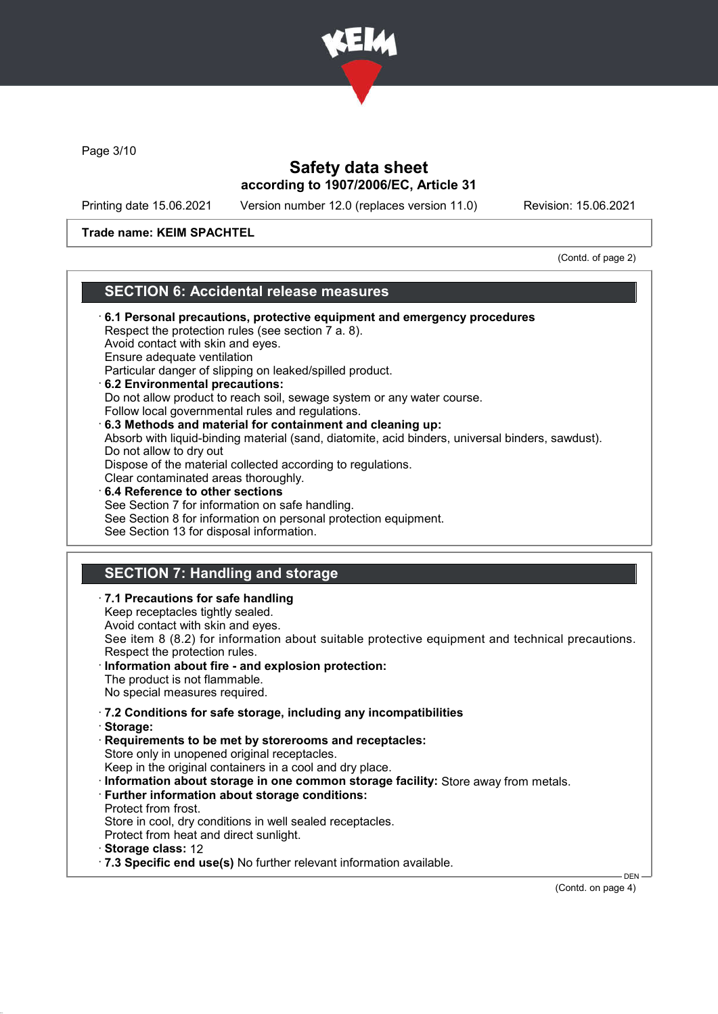

Page 3/10

### Safety data sheet according to 1907/2006/EC, Article 31

Printing date 15.06.2021 Version number 12.0 (replaces version 11.0) Revision: 15.06.2021

### Trade name: KEIM SPACHTEL

(Contd. of page 2)

### SECTION 6: Accidental release measures

- · 6.1 Personal precautions, protective equipment and emergency procedures Respect the protection rules (see section 7 a. 8). Avoid contact with skin and eyes. Ensure adequate ventilation Particular danger of slipping on leaked/spilled product. · 6.2 Environmental precautions: Do not allow product to reach soil, sewage system or any water course. Follow local governmental rules and regulations. · 6.3 Methods and material for containment and cleaning up: Absorb with liquid-binding material (sand, diatomite, acid binders, universal binders, sawdust). Do not allow to dry out Dispose of the material collected according to regulations. Clear contaminated areas thoroughly. 6.4 Reference to other sections See Section 7 for information on safe handling. See Section 8 for information on personal protection equipment. See Section 13 for disposal information. SECTION 7: Handling and storage · 7.1 Precautions for safe handling Keep receptacles tightly sealed. Avoid contact with skin and eyes. See item 8 (8.2) for information about suitable protective equipment and technical precautions. Respect the protection rules. Information about fire - and explosion protection: The product is not flammable. No special measures required. · 7.2 Conditions for safe storage, including any incompatibilities · Storage: · Requirements to be met by storerooms and receptacles: Store only in unopened original receptacles. Keep in the original containers in a cool and dry place. · Information about storage in one common storage facility: Store away from metals. · Further information about storage conditions: Protect from frost. Store in cool, dry conditions in well sealed receptacles. Protect from heat and direct sunlight.
- · Storage class: 12
- · 7.3 Specific end use(s) No further relevant information available.

(Contd. on page 4)

**DEN**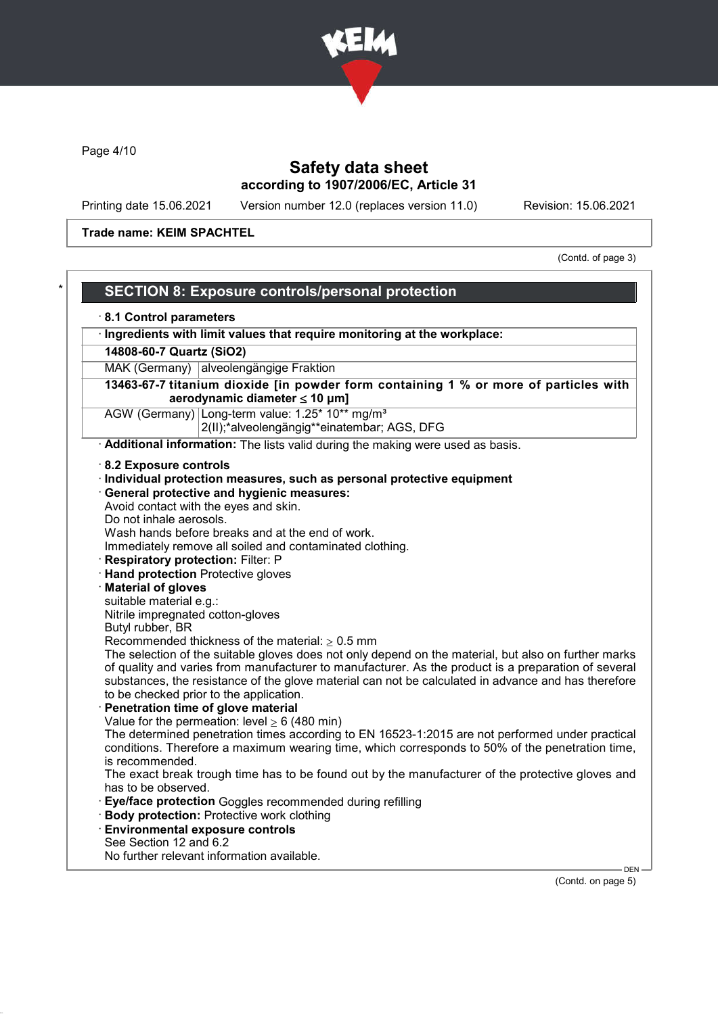

Page 4/10

# Safety data sheet according to 1907/2006/EC, Article 31

Printing date 15.06.2021 Version number 12.0 (replaces version 11.0) Revision: 15.06.2021

Trade name: KEIM SPACHTEL

(Contd. of page 3)

|                                                                                                     | <b>SECTION 8: Exposure controls/personal protection</b>                                                                                                                                                                                                                                                                                                       |  |  |
|-----------------------------------------------------------------------------------------------------|---------------------------------------------------------------------------------------------------------------------------------------------------------------------------------------------------------------------------------------------------------------------------------------------------------------------------------------------------------------|--|--|
| 8.1 Control parameters                                                                              |                                                                                                                                                                                                                                                                                                                                                               |  |  |
| Ingredients with limit values that require monitoring at the workplace:<br>14808-60-7 Quartz (SiO2) |                                                                                                                                                                                                                                                                                                                                                               |  |  |
|                                                                                                     |                                                                                                                                                                                                                                                                                                                                                               |  |  |
|                                                                                                     | 13463-67-7 titanium dioxide [in powder form containing 1 % or more of particles with<br>aerodynamic diameter $\leq 10$ µm]                                                                                                                                                                                                                                    |  |  |
|                                                                                                     | AGW (Germany) Long-term value: 1.25* 10** mg/m <sup>3</sup><br>2(II);*alveolengängig**einatembar; AGS, DFG                                                                                                                                                                                                                                                    |  |  |
|                                                                                                     | Additional information: The lists valid during the making were used as basis.                                                                                                                                                                                                                                                                                 |  |  |
| 8.2 Exposure controls                                                                               |                                                                                                                                                                                                                                                                                                                                                               |  |  |
|                                                                                                     | · Individual protection measures, such as personal protective equipment                                                                                                                                                                                                                                                                                       |  |  |
|                                                                                                     | · General protective and hygienic measures:                                                                                                                                                                                                                                                                                                                   |  |  |
|                                                                                                     | Avoid contact with the eyes and skin.                                                                                                                                                                                                                                                                                                                         |  |  |
| Do not inhale aerosols.                                                                             |                                                                                                                                                                                                                                                                                                                                                               |  |  |
|                                                                                                     | Wash hands before breaks and at the end of work.                                                                                                                                                                                                                                                                                                              |  |  |
|                                                                                                     | Immediately remove all soiled and contaminated clothing.                                                                                                                                                                                                                                                                                                      |  |  |
| <b>Respiratory protection: Filter: P</b>                                                            |                                                                                                                                                                                                                                                                                                                                                               |  |  |
| <b>Hand protection Protective gloves</b>                                                            |                                                                                                                                                                                                                                                                                                                                                               |  |  |
| <b>Material of gloves</b>                                                                           |                                                                                                                                                                                                                                                                                                                                                               |  |  |
| suitable material e.g.:                                                                             |                                                                                                                                                                                                                                                                                                                                                               |  |  |
| Nitrile impregnated cotton-gloves                                                                   |                                                                                                                                                                                                                                                                                                                                                               |  |  |
| Butyl rubber, BR                                                                                    | Recommended thickness of the material: $\geq 0.5$ mm                                                                                                                                                                                                                                                                                                          |  |  |
|                                                                                                     | The selection of the suitable gloves does not only depend on the material, but also on further marks<br>of quality and varies from manufacturer to manufacturer. As the product is a preparation of several<br>substances, the resistance of the glove material can not be calculated in advance and has therefore<br>to be checked prior to the application. |  |  |
|                                                                                                     | Penetration time of glove material                                                                                                                                                                                                                                                                                                                            |  |  |
|                                                                                                     | Value for the permeation: level $\geq 6$ (480 min)<br>The determined penetration times according to EN 16523-1:2015 are not performed under practical                                                                                                                                                                                                         |  |  |
| is recommended.                                                                                     | conditions. Therefore a maximum wearing time, which corresponds to 50% of the penetration time,                                                                                                                                                                                                                                                               |  |  |
| has to be observed.                                                                                 | The exact break trough time has to be found out by the manufacturer of the protective gloves and                                                                                                                                                                                                                                                              |  |  |
|                                                                                                     | Eye/face protection Goggles recommended during refilling<br><b>Body protection: Protective work clothing</b>                                                                                                                                                                                                                                                  |  |  |
|                                                                                                     | <b>Environmental exposure controls</b>                                                                                                                                                                                                                                                                                                                        |  |  |
| See Section 12 and 6.2                                                                              | No further relevant information available.                                                                                                                                                                                                                                                                                                                    |  |  |
|                                                                                                     |                                                                                                                                                                                                                                                                                                                                                               |  |  |

(Contd. on page 5)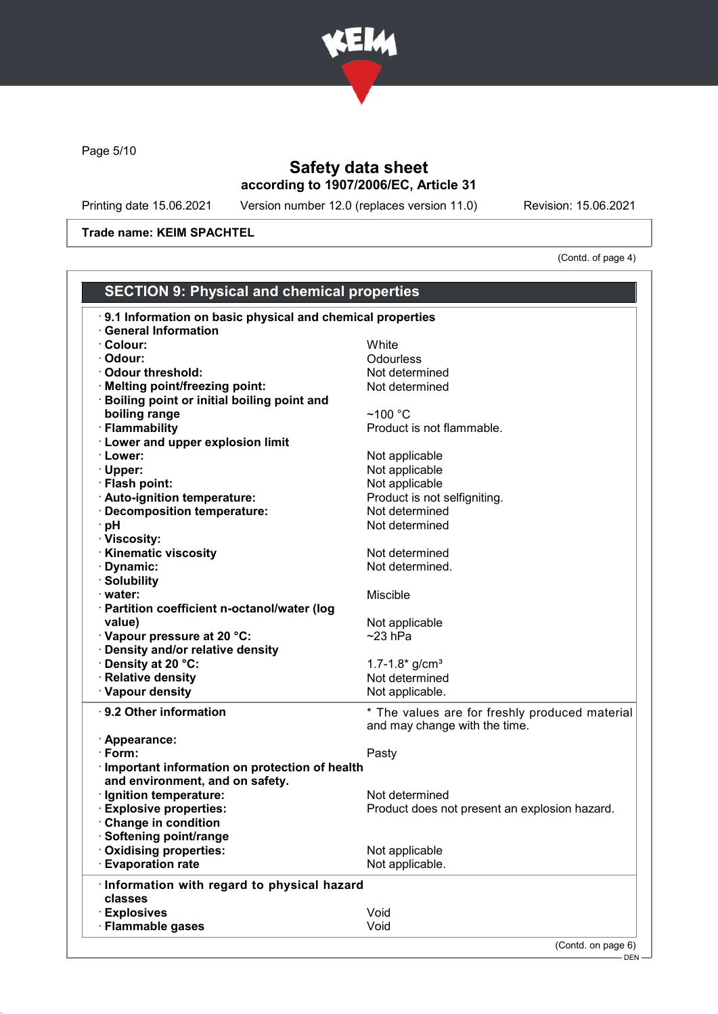

Page 5/10

# Safety data sheet according to 1907/2006/EC, Article 31

Printing date 15.06.2021 Version number 12.0 (replaces version 11.0) Revision: 15.06.2021

Trade name: KEIM SPACHTEL

(Contd. of page 4)

DEN

| <b>SECTION 9: Physical and chemical properties</b>        |                                                |
|-----------------------------------------------------------|------------------------------------------------|
| 9.1 Information on basic physical and chemical properties |                                                |
| · General Information<br>· Colour:                        | White                                          |
| · Odour:                                                  | Odourless                                      |
| · Odour threshold:                                        |                                                |
|                                                           | Not determined                                 |
| · Melting point/freezing point:                           | Not determined                                 |
| · Boiling point or initial boiling point and              |                                                |
| boiling range                                             | $~100~^{\circ}$ C                              |
| · Flammability                                            | Product is not flammable.                      |
| <b>Lower and upper explosion limit</b>                    |                                                |
| · Lower:                                                  | Not applicable                                 |
| · Upper:                                                  | Not applicable                                 |
| · Flash point:                                            | Not applicable                                 |
| · Auto-ignition temperature:                              | Product is not selfigniting.                   |
| · Decomposition temperature:                              | Not determined                                 |
| ∙ pH                                                      | Not determined                                 |
| · Viscosity:                                              |                                                |
| <b>Kinematic viscosity</b>                                | Not determined                                 |
| · Dynamic:                                                | Not determined.                                |
| · Solubility                                              |                                                |
| · water:                                                  | Miscible                                       |
| · Partition coefficient n-octanol/water (log              |                                                |
| value)                                                    | Not applicable                                 |
| · Vapour pressure at 20 °C:                               | $~23$ hPa                                      |
| · Density and/or relative density                         |                                                |
| · Density at 20 °C:                                       | $1.7 - 1.8*$ g/cm <sup>3</sup>                 |
| · Relative density                                        | Not determined                                 |
| · Vapour density                                          | Not applicable.                                |
| ⋅ 9.2 Other information                                   | * The values are for freshly produced material |
|                                                           | and may change with the time.                  |
| · Appearance:                                             |                                                |
| $\cdot$ Form:                                             | Pasty                                          |
| · Important information on protection of health           |                                                |
| and environment, and on safety.                           |                                                |
| · Ignition temperature:                                   | Not determined                                 |
| <b>Explosive properties:</b>                              | Product does not present an explosion hazard.  |
| <b>Change in condition</b>                                |                                                |
| Softening point/range                                     |                                                |
| Oxidising properties:                                     | Not applicable                                 |
| <b>Evaporation rate</b>                                   | Not applicable.                                |
| · Information with regard to physical hazard              |                                                |
| classes                                                   |                                                |
| · Explosives                                              | Void                                           |
| · Flammable gases                                         | Void                                           |
|                                                           | (Contd. on page 6)                             |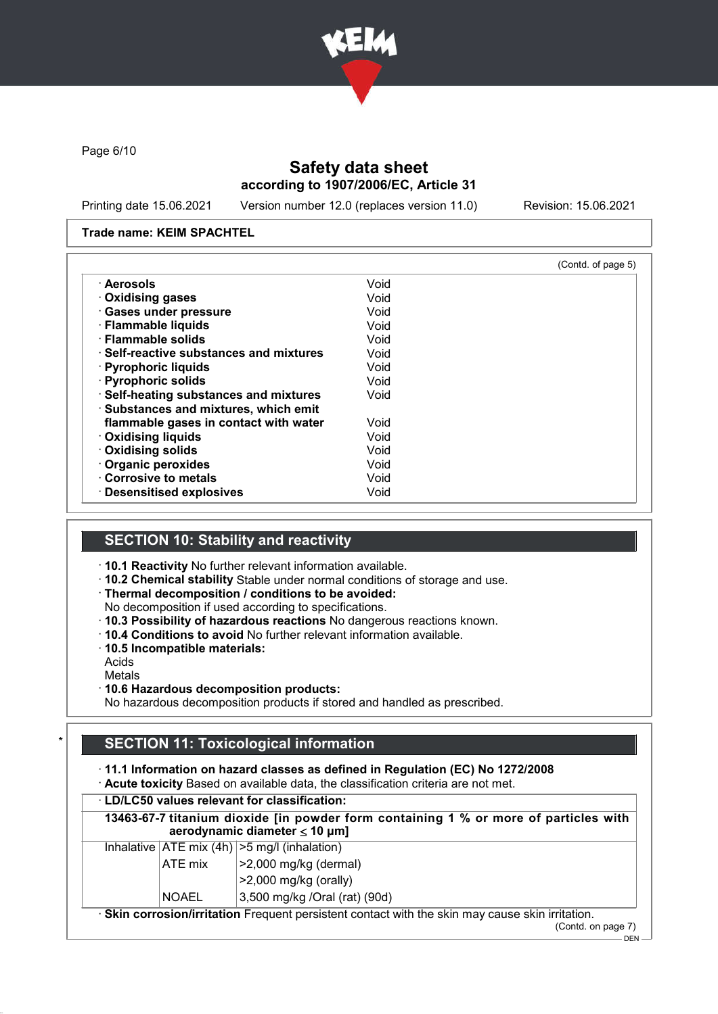

Page 6/10

## Safety data sheet according to 1907/2006/EC, Article 31

Printing date 15.06.2021 Version number 12.0 (replaces version 11.0) Revision: 15.06.2021

#### Trade name: KEIM SPACHTEL

|                                               |      | (Contd. of page 5) |
|-----------------------------------------------|------|--------------------|
| ∙ Aerosols                                    | Void |                    |
| ⋅ Oxidising gases                             | Void |                    |
| · Gases under pressure                        | Void |                    |
| · Flammable liquids                           | Void |                    |
| · Flammable solids                            | Void |                    |
| $\cdot$ Self-reactive substances and mixtures | Void |                    |
| · Pyrophoric liquids                          | Void |                    |
| · Pyrophoric solids                           | Void |                    |
| · Self-heating substances and mixtures        | Void |                    |
| <b>Substances and mixtures, which emit</b>    |      |                    |
| flammable gases in contact with water         | Void |                    |
| · Oxidising liquids                           | Void |                    |
| · Oxidising solids                            | Void |                    |
| Organic peroxides                             | Void |                    |
| Corrosive to metals                           | Void |                    |
| · Desensitised explosives                     | Void |                    |

### SECTION 10: Stability and reactivity

- · 10.1 Reactivity No further relevant information available.
- · 10.2 Chemical stability Stable under normal conditions of storage and use.

### · Thermal decomposition / conditions to be avoided:

- No decomposition if used according to specifications.
- · 10.3 Possibility of hazardous reactions No dangerous reactions known.
- · 10.4 Conditions to avoid No further relevant information available.
- · 10.5 Incompatible materials:
- Acids

Metals

#### · 10.6 Hazardous decomposition products:

No hazardous decomposition products if stored and handled as prescribed.

## **SECTION 11: Toxicological information**

· 11.1 Information on hazard classes as defined in Regulation (EC) No 1272/2008

· Acute toxicity Based on available data, the classification criteria are not met.

| $\cdot$ LD/LC50 values relevant for classification:                                                                        |                                                                     |  |
|----------------------------------------------------------------------------------------------------------------------------|---------------------------------------------------------------------|--|
| 13463-67-7 titanium dioxide [in powder form containing 1 % or more of particles with<br>aerodynamic diameter $\leq 10$ µm] |                                                                     |  |
|                                                                                                                            | Inhalative $ ATE \text{ mix } (4h)  > 5 \text{ mg/l } (inhalation)$ |  |
| ATE mix                                                                                                                    | $ >2,000$ mg/kg (dermal)                                            |  |
|                                                                                                                            | $>2,000$ mg/kg (orally)                                             |  |
| <b>NOAEL</b>                                                                                                               | 3,500 mg/kg /Oral (rat) (90d)                                       |  |
| · Skin corrosion/irritation Frequent persistent contact with the skin may cause skin irritation.                           |                                                                     |  |

(Contd. on page 7)  $-$  DEN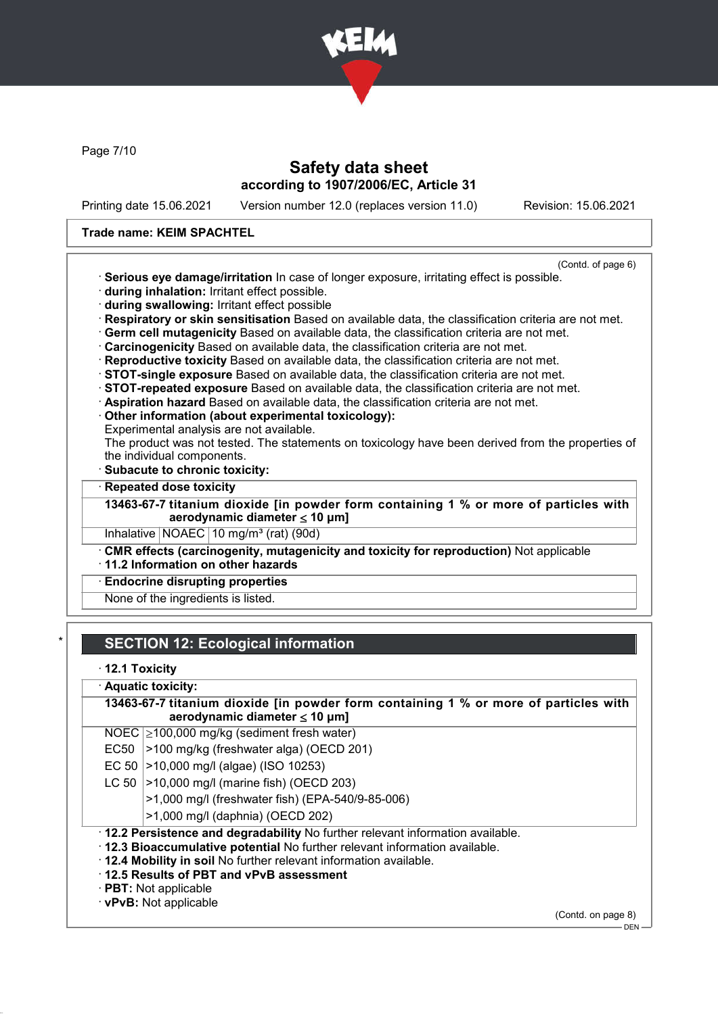

Page 7/10

### Safety data sheet according to 1907/2006/EC, Article 31

Printing date 15.06.2021 Version number 12.0 (replaces version 11.0) Revision: 15.06.2021

#### Trade name: KEIM SPACHTEL

- (Contd. of page 6) · Serious eye damage/irritation In case of longer exposure, irritating effect is possible.
- · during inhalation: Irritant effect possible.
- · during swallowing: Irritant effect possible
- · Respiratory or skin sensitisation Based on available data, the classification criteria are not met.
- · Germ cell mutagenicity Based on available data, the classification criteria are not met.
- · Carcinogenicity Based on available data, the classification criteria are not met.
- · Reproductive toxicity Based on available data, the classification criteria are not met.
- · STOT-single exposure Based on available data, the classification criteria are not met.
- · STOT-repeated exposure Based on available data, the classification criteria are not met.
- · Aspiration hazard Based on available data, the classification criteria are not met.
- · Other information (about experimental toxicology):
- Experimental analysis are not available.

The product was not tested. The statements on toxicology have been derived from the properties of the individual components.

- Subacute to chronic toxicity:
- **Repeated dose toxicity**
- 13463-67-7 titanium dioxide [in powder form containing 1 % or more of particles with aerodynamic diameter ≤ 10 μm]

Inhalative NOAEC 10 mg/m<sup>3</sup> (rat) (90d)

· CMR effects (carcinogenity, mutagenicity and toxicity for reproduction) Not applicable · 11.2 Information on other hazards

### **Endocrine disrupting properties**

None of the ingredients is listed.

## **SECTION 12: Ecological information**

· 12.1 Toxicity

### Aquatic toxicity:

13463-67-7 titanium dioxide [in powder form containing 1 % or more of particles with aerodynamic diameter ≤ 10 μm]

NOEC ≥100,000 mg/kg (sediment fresh water)

- EC50  $|>100$  mg/kg (freshwater alga) (OECD 201)
- EC 50 >10,000 mg/l (algae) (ISO 10253)
- LC 50  $|>10,000$  mg/l (marine fish) (OECD 203)
	- >1,000 mg/l (freshwater fish) (EPA-540/9-85-006)
		- >1,000 mg/l (daphnia) (OECD 202)
- · 12.2 Persistence and degradability No further relevant information available.
- · 12.3 Bioaccumulative potential No further relevant information available.
- · 12.4 Mobility in soil No further relevant information available.
- · 12.5 Results of PBT and vPvB assessment
- · PBT: Not applicable

### · vPvB: Not applicable

(Contd. on page 8)

DEN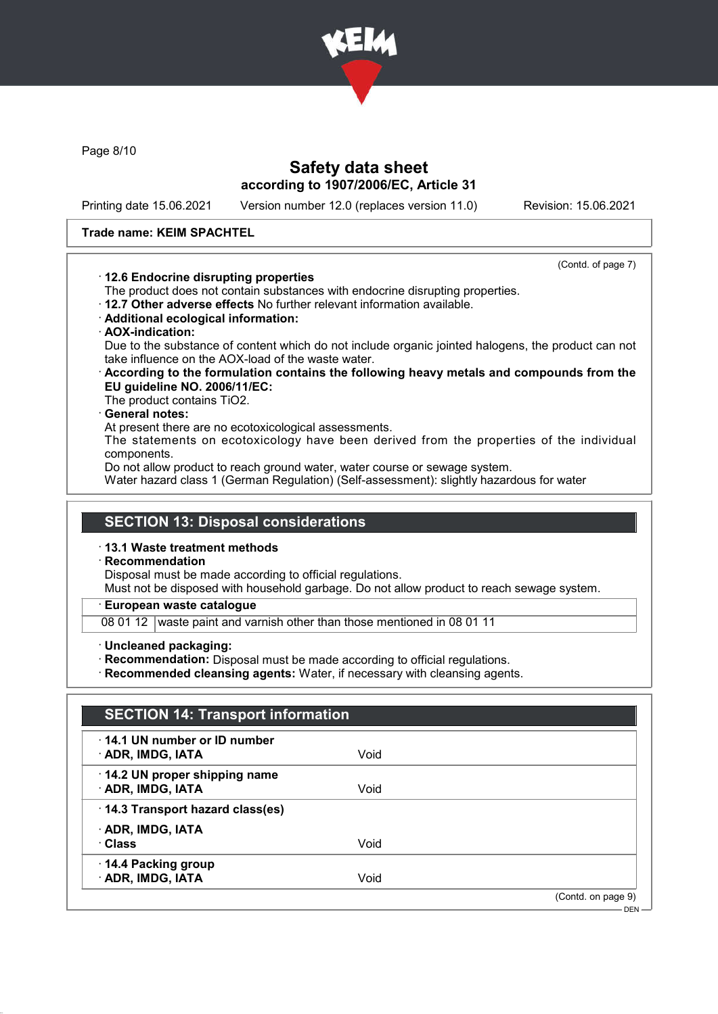

Page 8/10

## Safety data sheet according to 1907/2006/EC, Article 31

Printing date 15.06.2021 Version number 12.0 (replaces version 11.0) Revision: 15.06.2021

#### Trade name: KEIM SPACHTEL

#### · 12.6 Endocrine disrupting properties

(Contd. of page 7)

- The product does not contain substances with endocrine disrupting properties.
- · 12.7 Other adverse effects No further relevant information available.
- · Additional ecological information:
- · AOX-indication:

Due to the substance of content which do not include organic jointed halogens, the product can not take influence on the AOX-load of the waste water.

· According to the formulation contains the following heavy metals and compounds from the EU guideline NO. 2006/11/EC:

The product contains TiO2.

### General notes:

At present there are no ecotoxicological assessments.

The statements on ecotoxicology have been derived from the properties of the individual components.

Do not allow product to reach ground water, water course or sewage system.

Water hazard class 1 (German Regulation) (Self-assessment): slightly hazardous for water

### SECTION 13: Disposal considerations

#### · 13.1 Waste treatment methods

**Recommendation** 

Disposal must be made according to official regulations.

Must not be disposed with household garbage. Do not allow product to reach sewage system.

European waste catalogue

- 08 01 12 waste paint and varnish other than those mentioned in 08 01 11
- · Uncleaned packaging:
- · Recommendation: Disposal must be made according to official regulations.
- Recommended cleansing agents: Water, if necessary with cleansing agents.

## SECTION 14: Transport information

| $\cdot$ 14.1 UN number or ID number<br>· ADR, IMDG, IATA | Void |                    |
|----------------------------------------------------------|------|--------------------|
| 14.2 UN proper shipping name<br>· ADR, IMDG, IATA        | Void |                    |
| · 14.3 Transport hazard class(es)                        |      |                    |
| · ADR, IMDG, IATA<br>· Class                             | Void |                    |
| 14.4 Packing group<br>· ADR, IMDG, IATA                  | Void |                    |
|                                                          |      | (Contd. on page 9) |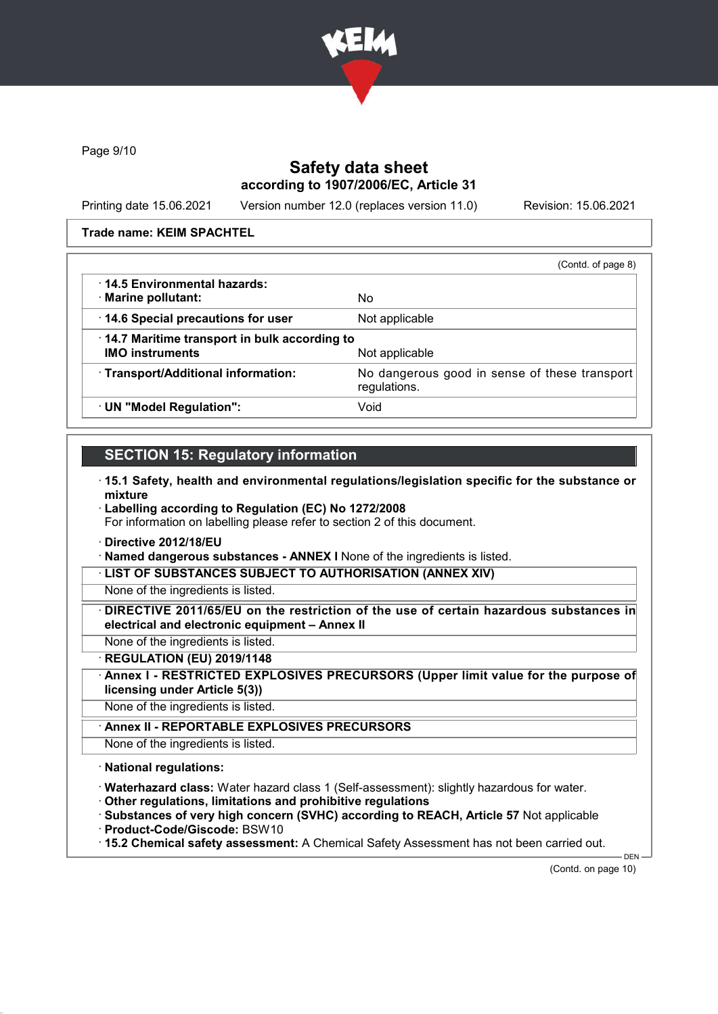

Page 9/10

## Safety data sheet according to 1907/2006/EC, Article 31

Printing date 15.06.2021 Version number 12.0 (replaces version 11.0) Revision: 15.06.2021

Trade name: KEIM SPACHTEL

|                                                                                                      | (Contd. of page 8) |
|------------------------------------------------------------------------------------------------------|--------------------|
| $\cdot$ 14.5 Environmental hazards:                                                                  |                    |
| · Marine pollutant:                                                                                  | No.                |
| 14.6 Special precautions for user                                                                    | Not applicable     |
| 14.7 Maritime transport in bulk according to                                                         |                    |
| <b>IMO instruments</b>                                                                               | Not applicable     |
| · Transport/Additional information:<br>No dangerous good in sense of these transport<br>regulations. |                    |
| · UN "Model Regulation":                                                                             | Void               |

## SECTION 15: Regulatory information

- · 15.1 Safety, health and environmental regulations/legislation specific for the substance or mixture
- · Labelling according to Regulation (EC) No 1272/2008 For information on labelling please refer to section 2 of this document.
- · Directive 2012/18/EU

· Named dangerous substances - ANNEX I None of the ingredients is listed.

LIST OF SUBSTANCES SUBJECT TO AUTHORISATION (ANNEX XIV)

None of the ingredients is listed.

· DIRECTIVE 2011/65/EU on the restriction of the use of certain hazardous substances in electrical and electronic equipment – Annex II

None of the ingredients is listed.

· REGULATION (EU) 2019/1148

· Annex I - RESTRICTED EXPLOSIVES PRECURSORS (Upper limit value for the purpose of licensing under Article 5(3))

None of the ingredients is listed.

Annex II - REPORTABLE EXPLOSIVES PRECURSORS

None of the ingredients is listed.

· National regulations:

· Waterhazard class: Water hazard class 1 (Self-assessment): slightly hazardous for water.

· Other regulations, limitations and prohibitive regulations

· Substances of very high concern (SVHC) according to REACH, Article 57 Not applicable · Product-Code/Giscode: BSW10

- 
- · 15.2 Chemical safety assessment: A Chemical Safety Assessment has not been carried out.

(Contd. on page 10)

DEN